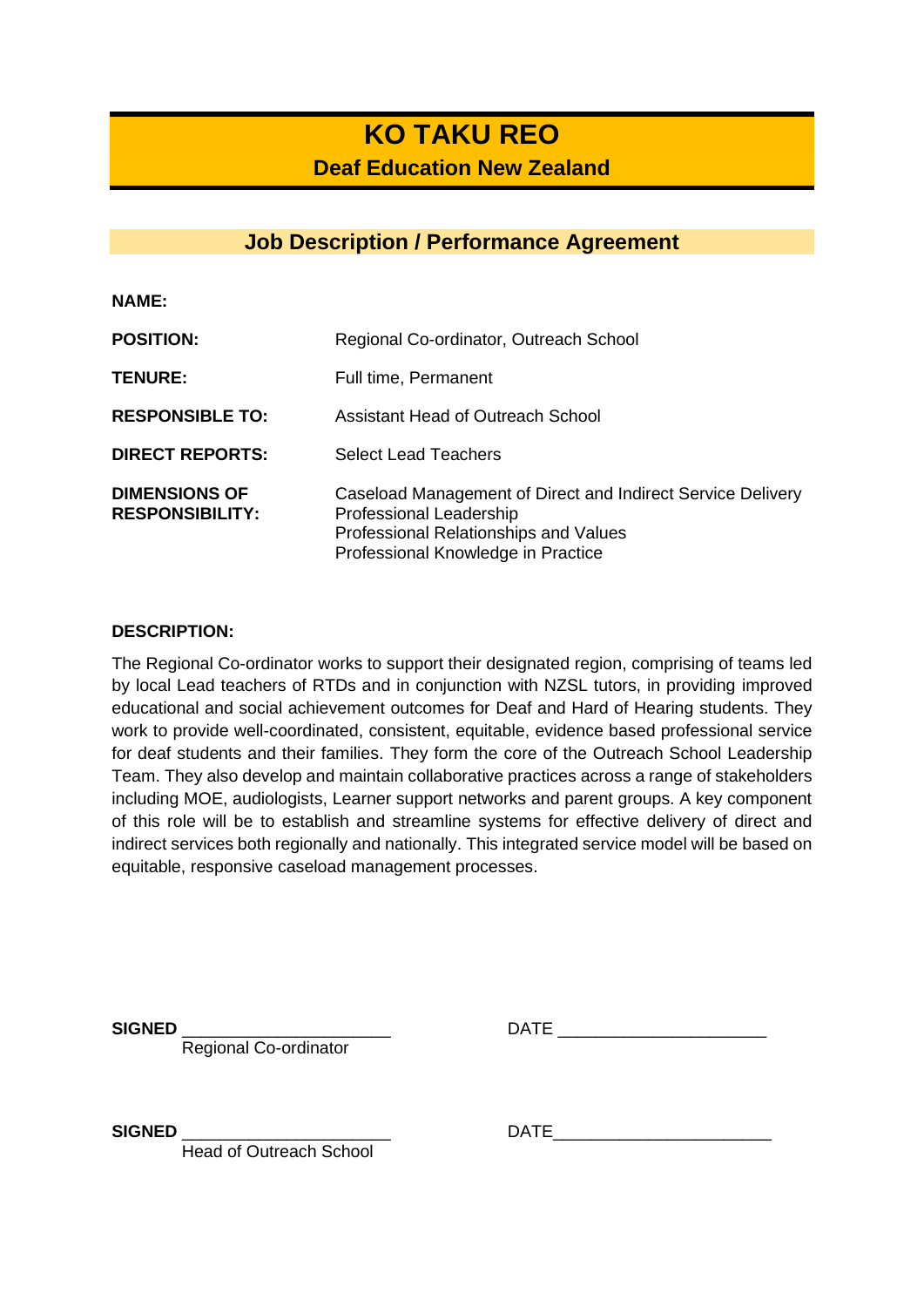## **KO TAKU REO Deaf Education New Zealand**

## **Job Description / Performance Agreement**

**NAME:**

| <b>POSITION:</b>                               | Regional Co-ordinator, Outreach School                                                                                                                                |
|------------------------------------------------|-----------------------------------------------------------------------------------------------------------------------------------------------------------------------|
| <b>TENURE:</b>                                 | Full time, Permanent                                                                                                                                                  |
| <b>RESPONSIBLE TO:</b>                         | Assistant Head of Outreach School                                                                                                                                     |
| <b>DIRECT REPORTS:</b>                         | <b>Select Lead Teachers</b>                                                                                                                                           |
| <b>DIMENSIONS OF</b><br><b>RESPONSIBILITY:</b> | Caseload Management of Direct and Indirect Service Delivery<br>Professional Leadership<br>Professional Relationships and Values<br>Professional Knowledge in Practice |

#### **DESCRIPTION:**

The Regional Co-ordinator works to support their designated region, comprising of teams led by local Lead teachers of RTDs and in conjunction with NZSL tutors, in providing improved educational and social achievement outcomes for Deaf and Hard of Hearing students. They work to provide well-coordinated, consistent, equitable, evidence based professional service for deaf students and their families. They form the core of the Outreach School Leadership Team. They also develop and maintain collaborative practices across a range of stakeholders including MOE, audiologists, Learner support networks and parent groups. A key component of this role will be to establish and streamline systems for effective delivery of direct and indirect services both regionally and nationally. This integrated service model will be based on equitable, responsive caseload management processes.

Regional Co-ordinator

**SIGNED** DATE

Head of Outreach School

**SIGNED** DATE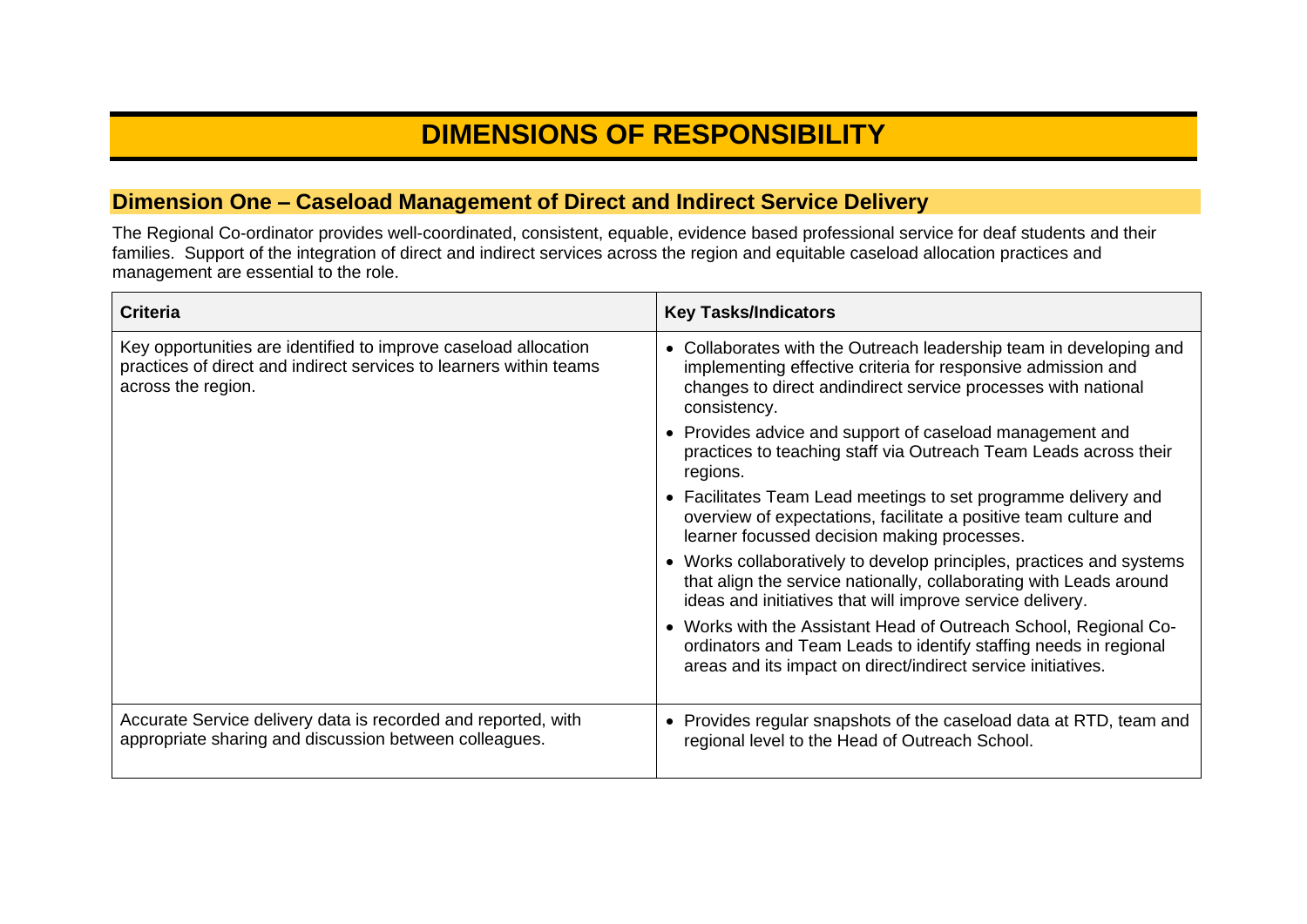# **DIMENSIONS OF RESPONSIBILITY**

### **Dimension One – Caseload Management of Direct and Indirect Service Delivery**

The Regional Co-ordinator provides well-coordinated, consistent, equable, evidence based professional service for deaf students and their families. Support of the integration of direct and indirect services across the region and equitable caseload allocation practices and management are essential to the role.

| <b>Criteria</b>                                                                                                                                             | <b>Key Tasks/Indicators</b>                                                                                                                                                                                        |
|-------------------------------------------------------------------------------------------------------------------------------------------------------------|--------------------------------------------------------------------------------------------------------------------------------------------------------------------------------------------------------------------|
| Key opportunities are identified to improve caseload allocation<br>practices of direct and indirect services to learners within teams<br>across the region. | Collaborates with the Outreach leadership team in developing and<br>implementing effective criteria for responsive admission and<br>changes to direct and indirect service processes with national<br>consistency. |
|                                                                                                                                                             | • Provides advice and support of caseload management and<br>practices to teaching staff via Outreach Team Leads across their<br>regions.                                                                           |
|                                                                                                                                                             | • Facilitates Team Lead meetings to set programme delivery and<br>overview of expectations, facilitate a positive team culture and<br>learner focussed decision making processes.                                  |
|                                                                                                                                                             | Works collaboratively to develop principles, practices and systems<br>that align the service nationally, collaborating with Leads around<br>ideas and initiatives that will improve service delivery.              |
|                                                                                                                                                             | • Works with the Assistant Head of Outreach School, Regional Co-<br>ordinators and Team Leads to identify staffing needs in regional<br>areas and its impact on direct/indirect service initiatives.               |
| Accurate Service delivery data is recorded and reported, with<br>appropriate sharing and discussion between colleagues.                                     | • Provides regular snapshots of the caseload data at RTD, team and<br>regional level to the Head of Outreach School.                                                                                               |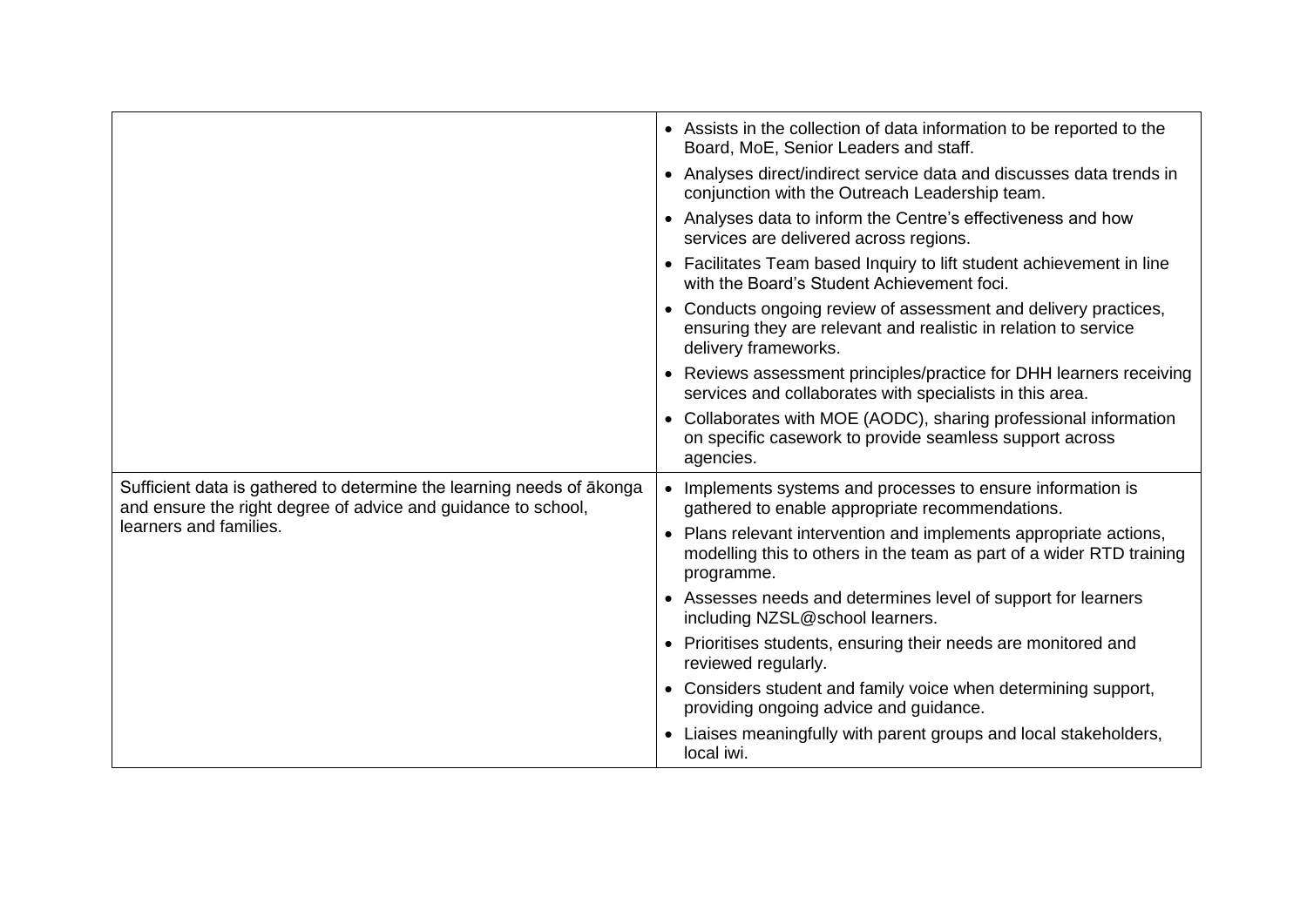|                                                                                                                                        | • Assists in the collection of data information to be reported to the<br>Board, MoE, Senior Leaders and staff.                                             |
|----------------------------------------------------------------------------------------------------------------------------------------|------------------------------------------------------------------------------------------------------------------------------------------------------------|
|                                                                                                                                        | • Analyses direct/indirect service data and discusses data trends in<br>conjunction with the Outreach Leadership team.                                     |
|                                                                                                                                        | • Analyses data to inform the Centre's effectiveness and how<br>services are delivered across regions.                                                     |
|                                                                                                                                        | • Facilitates Team based Inquiry to lift student achievement in line<br>with the Board's Student Achievement foci.                                         |
|                                                                                                                                        | • Conducts ongoing review of assessment and delivery practices,<br>ensuring they are relevant and realistic in relation to service<br>delivery frameworks. |
|                                                                                                                                        | • Reviews assessment principles/practice for DHH learners receiving<br>services and collaborates with specialists in this area.                            |
|                                                                                                                                        | • Collaborates with MOE (AODC), sharing professional information<br>on specific casework to provide seamless support across<br>agencies.                   |
| Sufficient data is gathered to determine the learning needs of akonga<br>and ensure the right degree of advice and guidance to school, | • Implements systems and processes to ensure information is<br>gathered to enable appropriate recommendations.                                             |
| learners and families.                                                                                                                 | • Plans relevant intervention and implements appropriate actions,<br>modelling this to others in the team as part of a wider RTD training<br>programme.    |
|                                                                                                                                        | • Assesses needs and determines level of support for learners<br>including NZSL@school learners.                                                           |
|                                                                                                                                        | • Prioritises students, ensuring their needs are monitored and<br>reviewed regularly.                                                                      |
|                                                                                                                                        | • Considers student and family voice when determining support,<br>providing ongoing advice and guidance.                                                   |
|                                                                                                                                        | • Liaises meaningfully with parent groups and local stakeholders,<br>local iwi.                                                                            |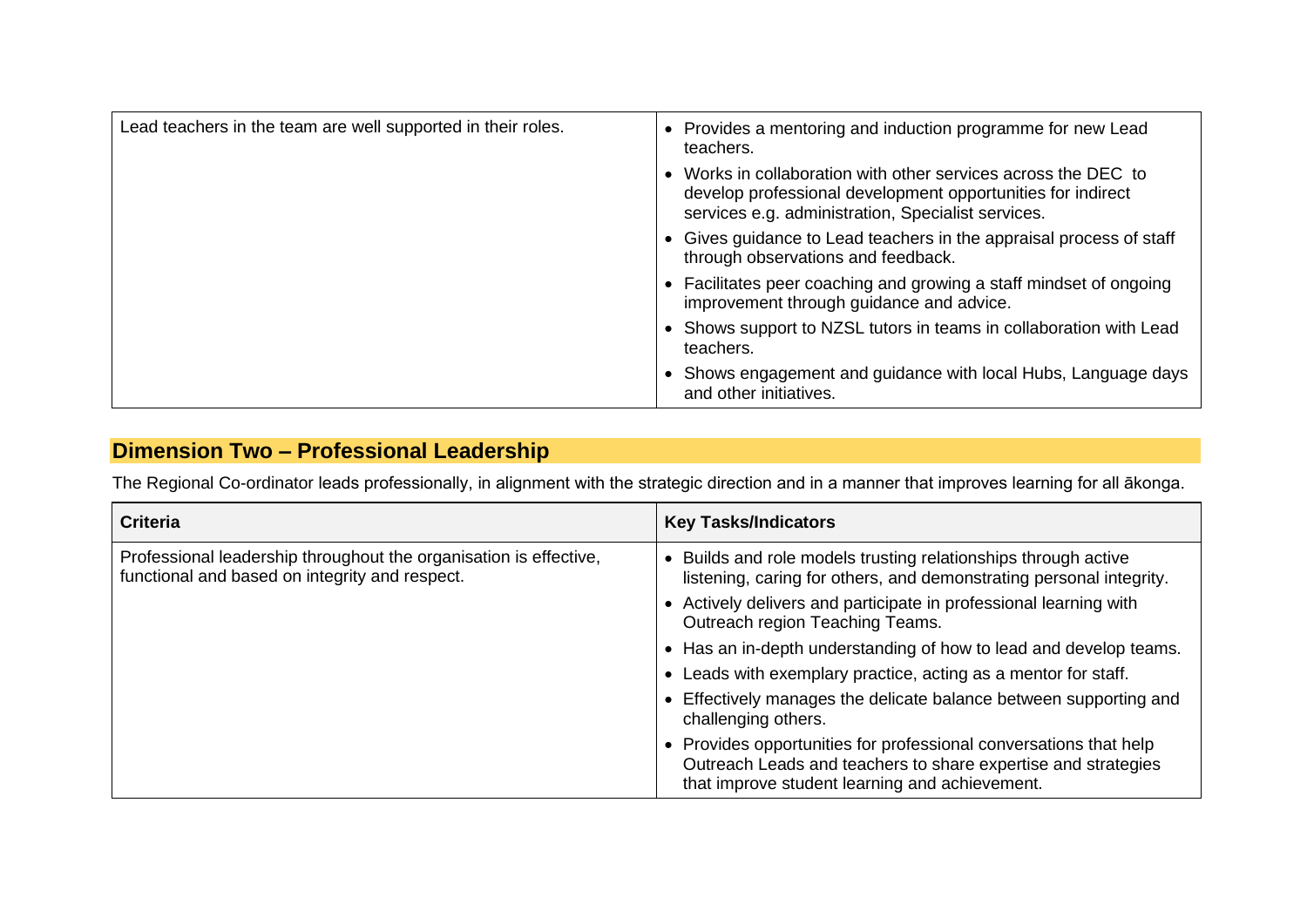| Lead teachers in the team are well supported in their roles. | • Provides a mentoring and induction programme for new Lead<br>teachers.                                                                                                            |
|--------------------------------------------------------------|-------------------------------------------------------------------------------------------------------------------------------------------------------------------------------------|
|                                                              | • Works in collaboration with other services across the DEC to<br>develop professional development opportunities for indirect<br>services e.g. administration, Specialist services. |
|                                                              | • Gives guidance to Lead teachers in the appraisal process of staff<br>through observations and feedback.                                                                           |
|                                                              | • Facilitates peer coaching and growing a staff mindset of ongoing<br>improvement through guidance and advice.                                                                      |
|                                                              | Shows support to NZSL tutors in teams in collaboration with Lead<br>teachers.                                                                                                       |
|                                                              | Shows engagement and guidance with local Hubs, Language days<br>and other initiatives.                                                                                              |

## **Dimension Two – Professional Leadership**

The Regional Co-ordinator leads professionally, in alignment with the strategic direction and in a manner that improves learning for all ākonga.

| <b>Criteria</b>                                                                                                     | <b>Key Tasks/Indicators</b>                                                                                                                                                          |
|---------------------------------------------------------------------------------------------------------------------|--------------------------------------------------------------------------------------------------------------------------------------------------------------------------------------|
| Professional leadership throughout the organisation is effective,<br>functional and based on integrity and respect. | • Builds and role models trusting relationships through active<br>listening, caring for others, and demonstrating personal integrity.                                                |
|                                                                                                                     | • Actively delivers and participate in professional learning with<br>Outreach region Teaching Teams.                                                                                 |
|                                                                                                                     | • Has an in-depth understanding of how to lead and develop teams.                                                                                                                    |
|                                                                                                                     | • Leads with exemplary practice, acting as a mentor for staff.                                                                                                                       |
|                                                                                                                     | • Effectively manages the delicate balance between supporting and<br>challenging others.                                                                                             |
|                                                                                                                     | • Provides opportunities for professional conversations that help<br>Outreach Leads and teachers to share expertise and strategies<br>that improve student learning and achievement. |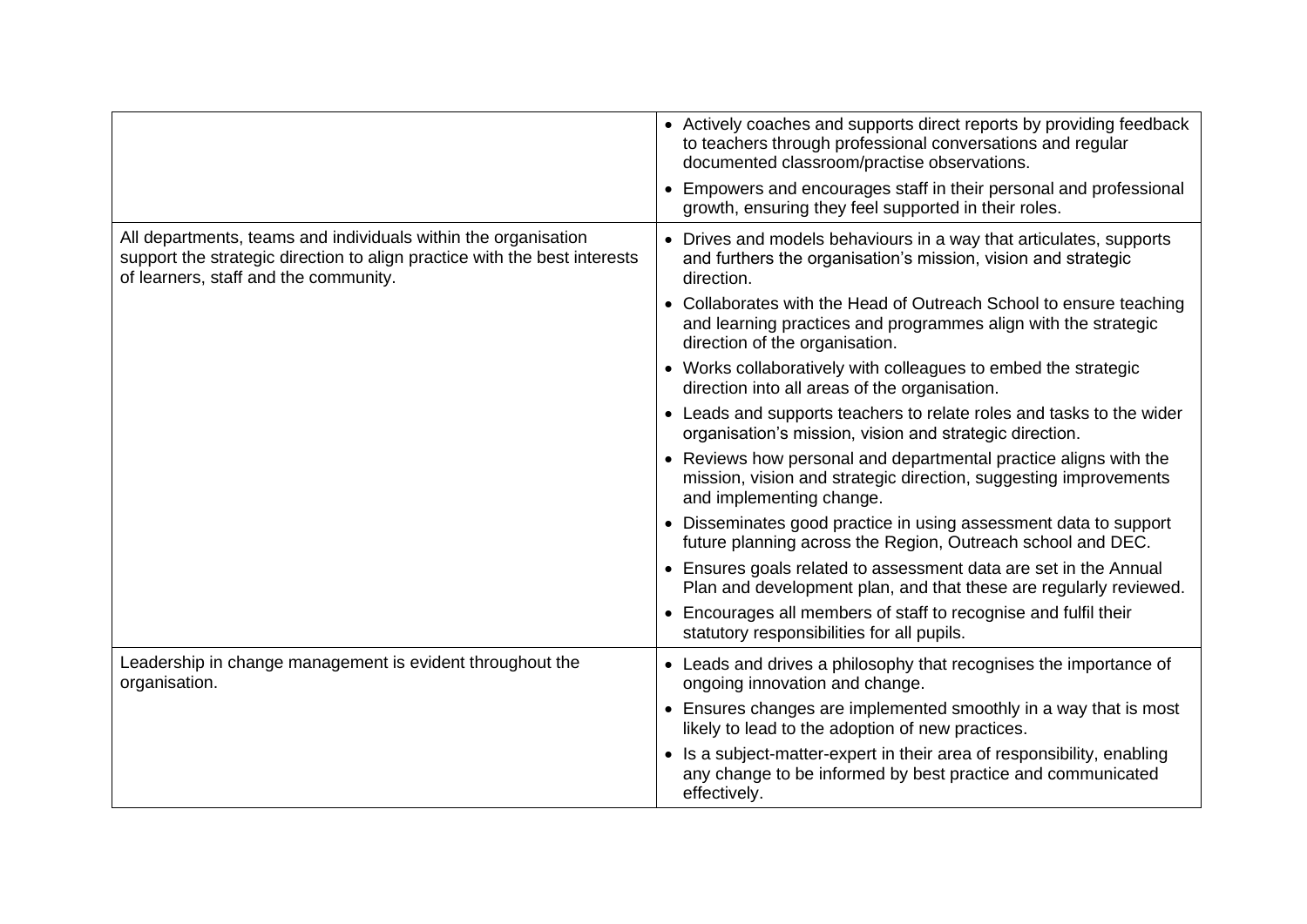|                                                                                                                                                                                      | • Actively coaches and supports direct reports by providing feedback<br>to teachers through professional conversations and regular<br>documented classroom/practise observations. |
|--------------------------------------------------------------------------------------------------------------------------------------------------------------------------------------|-----------------------------------------------------------------------------------------------------------------------------------------------------------------------------------|
|                                                                                                                                                                                      | • Empowers and encourages staff in their personal and professional<br>growth, ensuring they feel supported in their roles.                                                        |
| All departments, teams and individuals within the organisation<br>support the strategic direction to align practice with the best interests<br>of learners, staff and the community. | • Drives and models behaviours in a way that articulates, supports<br>and furthers the organisation's mission, vision and strategic<br>direction.                                 |
|                                                                                                                                                                                      | • Collaborates with the Head of Outreach School to ensure teaching<br>and learning practices and programmes align with the strategic<br>direction of the organisation.            |
|                                                                                                                                                                                      | • Works collaboratively with colleagues to embed the strategic<br>direction into all areas of the organisation.                                                                   |
|                                                                                                                                                                                      | • Leads and supports teachers to relate roles and tasks to the wider<br>organisation's mission, vision and strategic direction.                                                   |
|                                                                                                                                                                                      | • Reviews how personal and departmental practice aligns with the<br>mission, vision and strategic direction, suggesting improvements<br>and implementing change.                  |
|                                                                                                                                                                                      | • Disseminates good practice in using assessment data to support<br>future planning across the Region, Outreach school and DEC.                                                   |
|                                                                                                                                                                                      | • Ensures goals related to assessment data are set in the Annual<br>Plan and development plan, and that these are regularly reviewed.                                             |
|                                                                                                                                                                                      | • Encourages all members of staff to recognise and fulfil their<br>statutory responsibilities for all pupils.                                                                     |
| Leadership in change management is evident throughout the<br>organisation.                                                                                                           | • Leads and drives a philosophy that recognises the importance of<br>ongoing innovation and change.                                                                               |
|                                                                                                                                                                                      | • Ensures changes are implemented smoothly in a way that is most<br>likely to lead to the adoption of new practices.                                                              |
|                                                                                                                                                                                      | • Is a subject-matter-expert in their area of responsibility, enabling<br>any change to be informed by best practice and communicated<br>effectively.                             |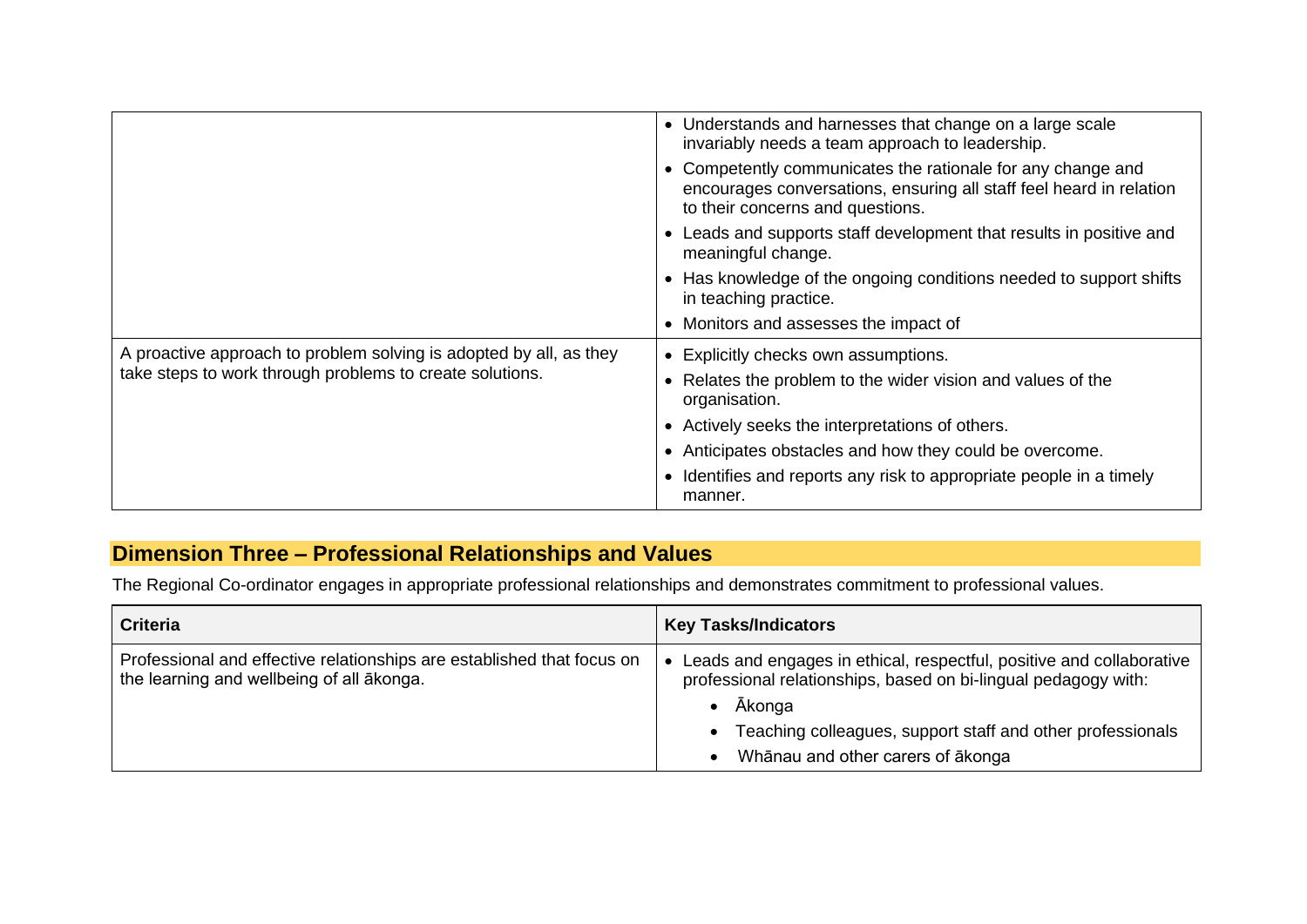|                                                                    | Understands and harnesses that change on a large scale<br>invariably needs a team approach to leadership.                                                            |
|--------------------------------------------------------------------|----------------------------------------------------------------------------------------------------------------------------------------------------------------------|
|                                                                    | Competently communicates the rationale for any change and<br>encourages conversations, ensuring all staff feel heard in relation<br>to their concerns and questions. |
|                                                                    | Leads and supports staff development that results in positive and<br>meaningful change.                                                                              |
|                                                                    | Has knowledge of the ongoing conditions needed to support shifts<br>in teaching practice.                                                                            |
|                                                                    | • Monitors and assesses the impact of                                                                                                                                |
| A proactive approach to problem solving is adopted by all, as they | Explicitly checks own assumptions.                                                                                                                                   |
| take steps to work through problems to create solutions.           | Relates the problem to the wider vision and values of the<br>organisation.                                                                                           |
|                                                                    | • Actively seeks the interpretations of others.                                                                                                                      |
|                                                                    | Anticipates obstacles and how they could be overcome.                                                                                                                |
|                                                                    | Identifies and reports any risk to appropriate people in a timely<br>manner.                                                                                         |

## **Dimension Three – Professional Relationships and Values**

The Regional Co-ordinator engages in appropriate professional relationships and demonstrates commitment to professional values.

| <b>Criteria</b>                                                                                                     | <b>Key Tasks/Indicators</b>                                                                                                                                                                                                                         |
|---------------------------------------------------------------------------------------------------------------------|-----------------------------------------------------------------------------------------------------------------------------------------------------------------------------------------------------------------------------------------------------|
| Professional and effective relationships are established that focus on<br>the learning and wellbeing of all akonga. | Leads and engages in ethical, respectful, positive and collaborative<br>professional relationships, based on bi-lingual pedagogy with:<br>Ākonga<br>Teaching colleagues, support staff and other professionals<br>Whānau and other carers of ākonga |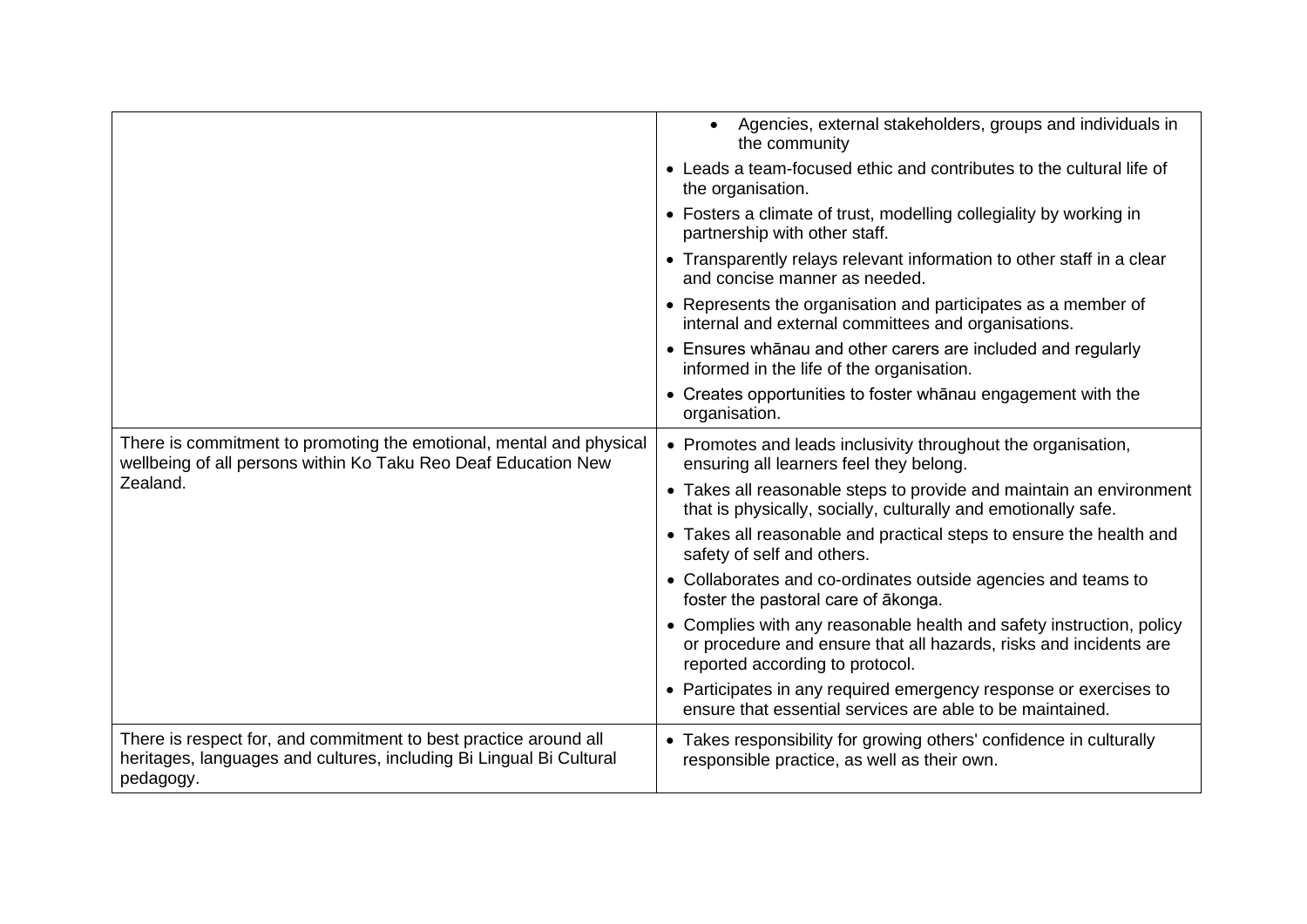|                                                                                                                                                      | Agencies, external stakeholders, groups and individuals in<br>$\bullet$<br>the community                                                                                     |
|------------------------------------------------------------------------------------------------------------------------------------------------------|------------------------------------------------------------------------------------------------------------------------------------------------------------------------------|
|                                                                                                                                                      | • Leads a team-focused ethic and contributes to the cultural life of<br>the organisation.                                                                                    |
|                                                                                                                                                      | • Fosters a climate of trust, modelling collegiality by working in<br>partnership with other staff.                                                                          |
|                                                                                                                                                      | • Transparently relays relevant information to other staff in a clear<br>and concise manner as needed.                                                                       |
|                                                                                                                                                      | • Represents the organisation and participates as a member of<br>internal and external committees and organisations.                                                         |
|                                                                                                                                                      | • Ensures whanau and other carers are included and regularly<br>informed in the life of the organisation.                                                                    |
|                                                                                                                                                      | • Creates opportunities to foster whanau engagement with the<br>organisation.                                                                                                |
| There is commitment to promoting the emotional, mental and physical<br>wellbeing of all persons within Ko Taku Reo Deaf Education New                | • Promotes and leads inclusivity throughout the organisation,<br>ensuring all learners feel they belong.                                                                     |
| Zealand.                                                                                                                                             | • Takes all reasonable steps to provide and maintain an environment<br>that is physically, socially, culturally and emotionally safe.                                        |
|                                                                                                                                                      | • Takes all reasonable and practical steps to ensure the health and<br>safety of self and others.                                                                            |
|                                                                                                                                                      | • Collaborates and co-ordinates outside agencies and teams to<br>foster the pastoral care of ākonga.                                                                         |
|                                                                                                                                                      | • Complies with any reasonable health and safety instruction, policy<br>or procedure and ensure that all hazards, risks and incidents are<br>reported according to protocol. |
|                                                                                                                                                      | • Participates in any required emergency response or exercises to<br>ensure that essential services are able to be maintained.                                               |
| There is respect for, and commitment to best practice around all<br>heritages, languages and cultures, including Bi Lingual Bi Cultural<br>pedagogy. | • Takes responsibility for growing others' confidence in culturally<br>responsible practice, as well as their own.                                                           |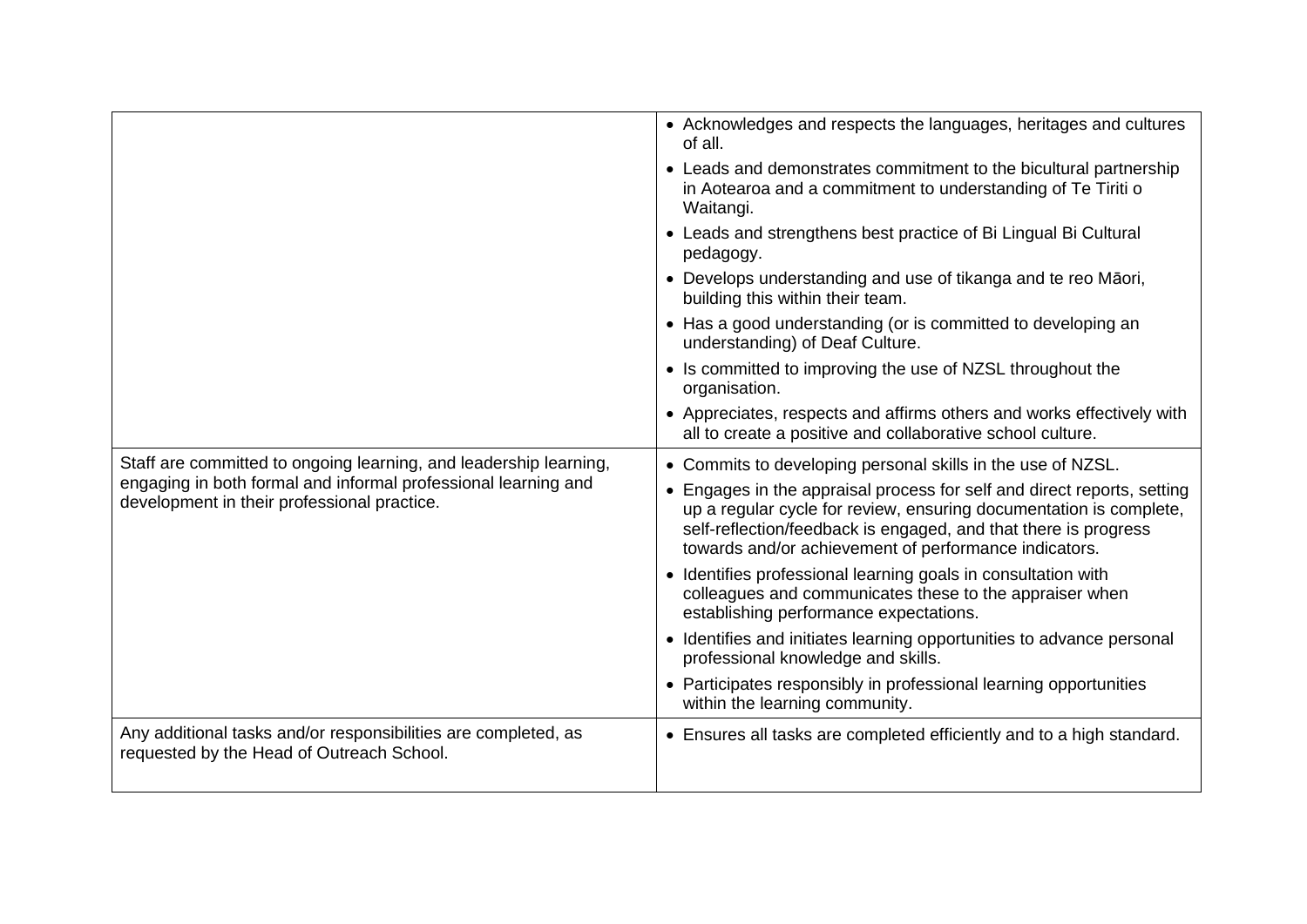|                                                                                                               | • Acknowledges and respects the languages, heritages and cultures<br>of all.                                                                                                                                                                                            |
|---------------------------------------------------------------------------------------------------------------|-------------------------------------------------------------------------------------------------------------------------------------------------------------------------------------------------------------------------------------------------------------------------|
|                                                                                                               | • Leads and demonstrates commitment to the bicultural partnership<br>in Aotearoa and a commitment to understanding of Te Tiriti o<br>Waitangi.                                                                                                                          |
|                                                                                                               | • Leads and strengthens best practice of Bi Lingual Bi Cultural<br>pedagogy.                                                                                                                                                                                            |
|                                                                                                               | • Develops understanding and use of tikanga and te reo Māori,<br>building this within their team.                                                                                                                                                                       |
|                                                                                                               | • Has a good understanding (or is committed to developing an<br>understanding) of Deaf Culture.                                                                                                                                                                         |
|                                                                                                               | • Is committed to improving the use of NZSL throughout the<br>organisation.                                                                                                                                                                                             |
|                                                                                                               | • Appreciates, respects and affirms others and works effectively with<br>all to create a positive and collaborative school culture.                                                                                                                                     |
| Staff are committed to ongoing learning, and leadership learning,                                             | • Commits to developing personal skills in the use of NZSL.                                                                                                                                                                                                             |
|                                                                                                               |                                                                                                                                                                                                                                                                         |
| engaging in both formal and informal professional learning and<br>development in their professional practice. | Engages in the appraisal process for self and direct reports, setting<br>up a regular cycle for review, ensuring documentation is complete,<br>self-reflection/feedback is engaged, and that there is progress<br>towards and/or achievement of performance indicators. |
|                                                                                                               | • Identifies professional learning goals in consultation with<br>colleagues and communicates these to the appraiser when<br>establishing performance expectations.                                                                                                      |
|                                                                                                               | • Identifies and initiates learning opportunities to advance personal<br>professional knowledge and skills.                                                                                                                                                             |
|                                                                                                               | • Participates responsibly in professional learning opportunities<br>within the learning community.                                                                                                                                                                     |
| Any additional tasks and/or responsibilities are completed, as<br>requested by the Head of Outreach School.   | • Ensures all tasks are completed efficiently and to a high standard.                                                                                                                                                                                                   |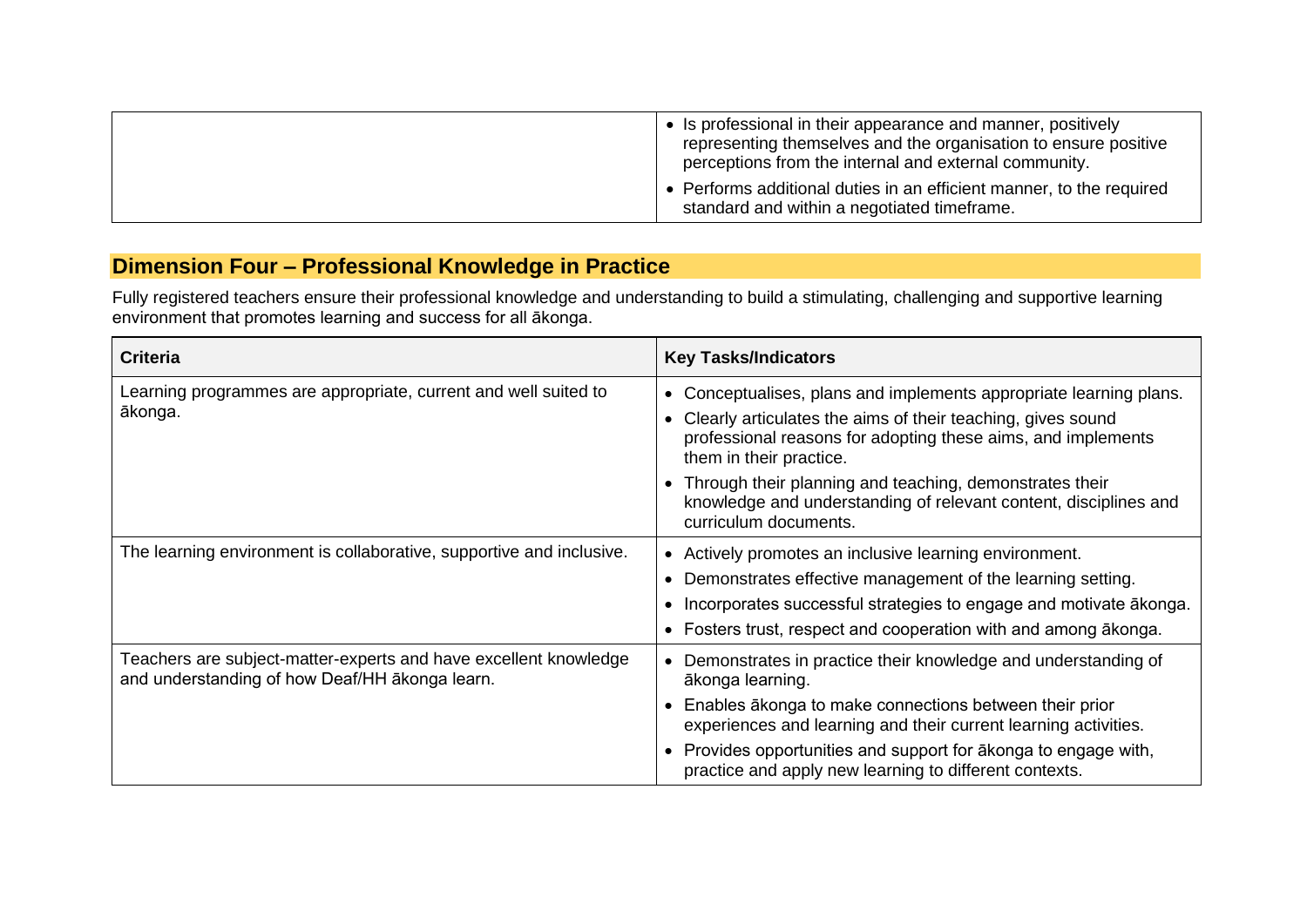| • Is professional in their appearance and manner, positively<br>representing themselves and the organisation to ensure positive<br>perceptions from the internal and external community. |  |
|------------------------------------------------------------------------------------------------------------------------------------------------------------------------------------------|--|
| • Performs additional duties in an efficient manner, to the required<br>standard and within a negotiated timeframe.                                                                      |  |

## **Dimension Four – Professional Knowledge in Practice**

Fully registered teachers ensure their professional knowledge and understanding to build a stimulating, challenging and supportive learning environment that promotes learning and success for all ākonga.

| <b>Criteria</b>                                                                                                    | <b>Key Tasks/Indicators</b>                                                                                                                                                                                                                                                                                                                   |
|--------------------------------------------------------------------------------------------------------------------|-----------------------------------------------------------------------------------------------------------------------------------------------------------------------------------------------------------------------------------------------------------------------------------------------------------------------------------------------|
| Learning programmes are appropriate, current and well suited to<br>ākonga.                                         | • Conceptualises, plans and implements appropriate learning plans.<br>Clearly articulates the aims of their teaching, gives sound<br>professional reasons for adopting these aims, and implements<br>them in their practice.                                                                                                                  |
|                                                                                                                    | Through their planning and teaching, demonstrates their<br>knowledge and understanding of relevant content, disciplines and<br>curriculum documents.                                                                                                                                                                                          |
| The learning environment is collaborative, supportive and inclusive.                                               | • Actively promotes an inclusive learning environment.<br>Demonstrates effective management of the learning setting.<br>• Incorporates successful strategies to engage and motivate ākonga.<br>• Fosters trust, respect and cooperation with and among akonga.                                                                                |
| Teachers are subject-matter-experts and have excellent knowledge<br>and understanding of how Deaf/HH ākonga learn. | Demonstrates in practice their knowledge and understanding of<br>ākonga learning.<br>• Enables ākonga to make connections between their prior<br>experiences and learning and their current learning activities.<br>• Provides opportunities and support for akonga to engage with,<br>practice and apply new learning to different contexts. |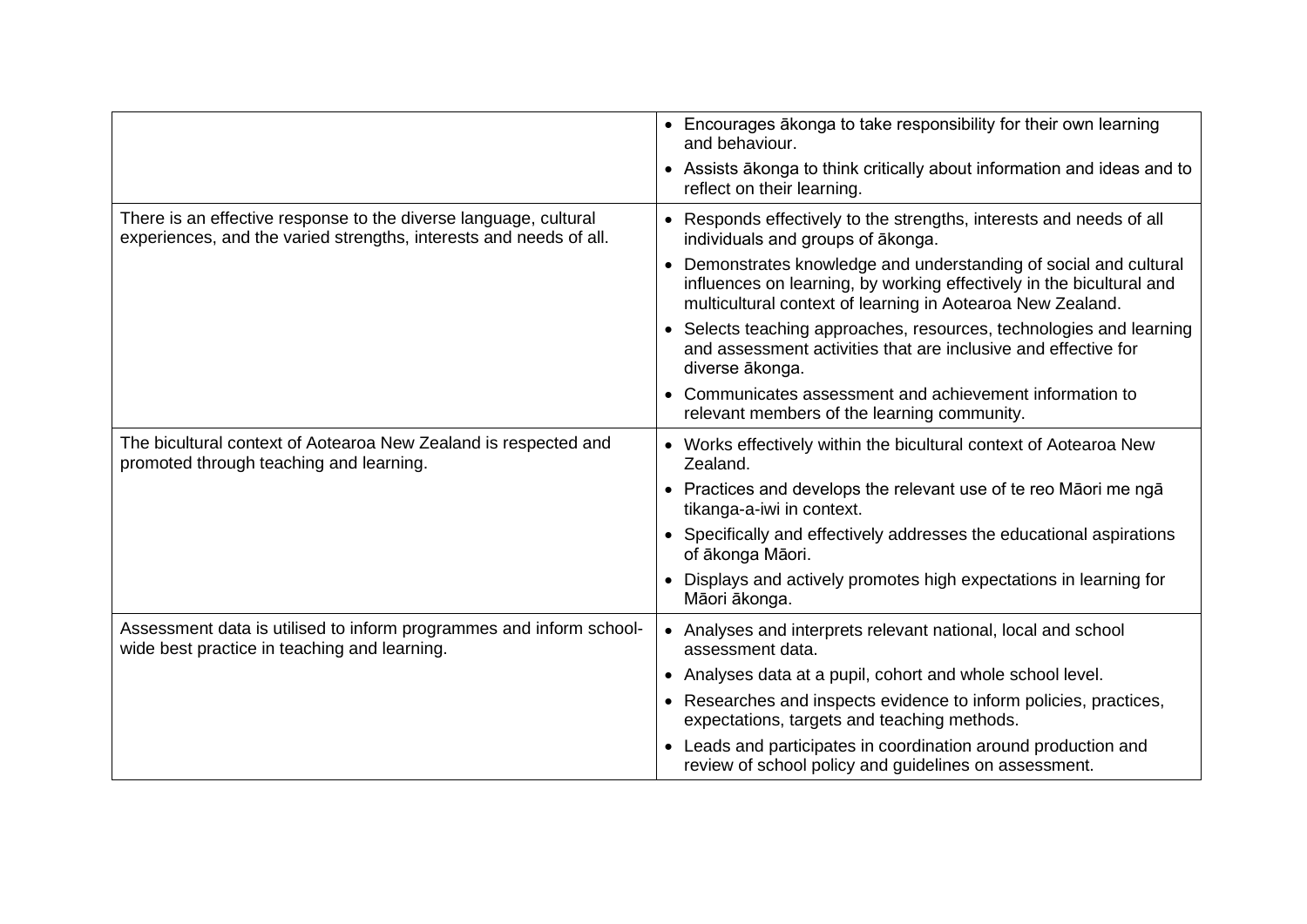|                                                                                                                                        | • Encourages akonga to take responsibility for their own learning<br>and behaviour.                                                                                                                     |
|----------------------------------------------------------------------------------------------------------------------------------------|---------------------------------------------------------------------------------------------------------------------------------------------------------------------------------------------------------|
|                                                                                                                                        | • Assists ākonga to think critically about information and ideas and to<br>reflect on their learning.                                                                                                   |
| There is an effective response to the diverse language, cultural<br>experiences, and the varied strengths, interests and needs of all. | • Responds effectively to the strengths, interests and needs of all<br>individuals and groups of ākonga.                                                                                                |
|                                                                                                                                        | • Demonstrates knowledge and understanding of social and cultural<br>influences on learning, by working effectively in the bicultural and<br>multicultural context of learning in Aotearoa New Zealand. |
|                                                                                                                                        | • Selects teaching approaches, resources, technologies and learning<br>and assessment activities that are inclusive and effective for<br>diverse ākonga.                                                |
|                                                                                                                                        | • Communicates assessment and achievement information to<br>relevant members of the learning community.                                                                                                 |
| The bicultural context of Aotearoa New Zealand is respected and<br>promoted through teaching and learning.                             | • Works effectively within the bicultural context of Aotearoa New<br>Zealand.                                                                                                                           |
|                                                                                                                                        | • Practices and develops the relevant use of te reo Māori me ngā<br>tikanga-a-iwi in context.                                                                                                           |
|                                                                                                                                        | • Specifically and effectively addresses the educational aspirations<br>of ākonga Māori.                                                                                                                |
|                                                                                                                                        | • Displays and actively promotes high expectations in learning for<br>Māori ākonga.                                                                                                                     |
| Assessment data is utilised to inform programmes and inform school-<br>wide best practice in teaching and learning.                    | • Analyses and interprets relevant national, local and school<br>assessment data.                                                                                                                       |
|                                                                                                                                        | • Analyses data at a pupil, cohort and whole school level.                                                                                                                                              |
|                                                                                                                                        | • Researches and inspects evidence to inform policies, practices,<br>expectations, targets and teaching methods.                                                                                        |
|                                                                                                                                        | • Leads and participates in coordination around production and<br>review of school policy and guidelines on assessment.                                                                                 |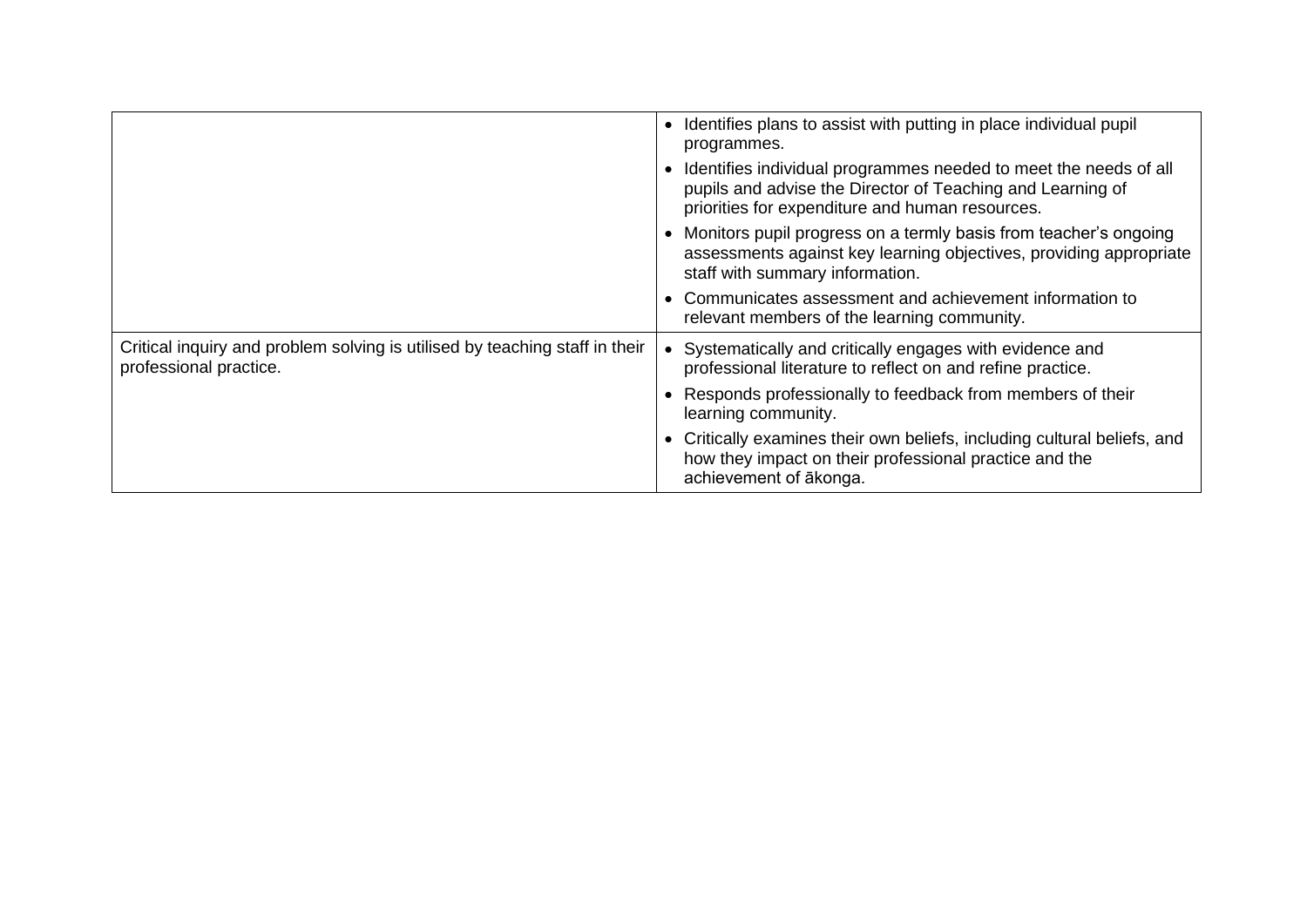|                                                                                                       | Identifies plans to assist with putting in place individual pupil<br>programmes.                                                                                                  |
|-------------------------------------------------------------------------------------------------------|-----------------------------------------------------------------------------------------------------------------------------------------------------------------------------------|
|                                                                                                       | Identifies individual programmes needed to meet the needs of all<br>pupils and advise the Director of Teaching and Learning of<br>priorities for expenditure and human resources. |
|                                                                                                       | Monitors pupil progress on a termly basis from teacher's ongoing<br>assessments against key learning objectives, providing appropriate<br>staff with summary information.         |
|                                                                                                       | Communicates assessment and achievement information to<br>relevant members of the learning community.                                                                             |
| Critical inquiry and problem solving is utilised by teaching staff in their<br>professional practice. | Systematically and critically engages with evidence and<br>professional literature to reflect on and refine practice.                                                             |
|                                                                                                       | Responds professionally to feedback from members of their<br>learning community.                                                                                                  |
|                                                                                                       | Critically examines their own beliefs, including cultural beliefs, and<br>how they impact on their professional practice and the<br>achievement of ākonga.                        |